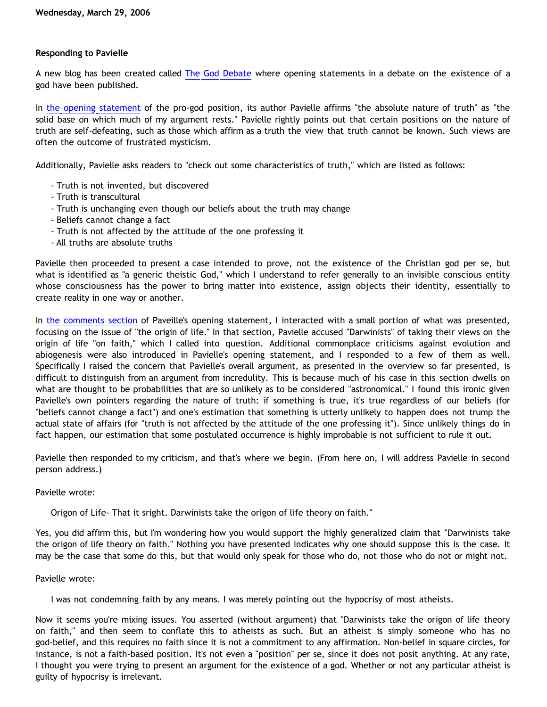# **Responding to Pavielle**

A new blog has been created called [The God Debate](http://thegoddebate.blogspot.com) where opening statements in a debate on the existence of a god have been published.

In [the opening statement](http://thegoddebate.blogspot.com/2006/03/i-simply-dont-have-enough-faith-to-be.html) of the pro-god position, its author Pavielle affirms "the absolute nature of truth" as "the solid base on which much of my argument rests." Pavielle rightly points out that certain positions on the nature of truth are self-defeating, such as those which affirm as a truth the view that truth cannot be known. Such views are often the outcome of frustrated mysticism.

Additionally, Pavielle asks readers to "check out some characteristics of truth," which are listed as follows:

- Truth is not invented, but discovered
- Truth is transcultural
- Truth is unchanging even though our beliefs about the truth may change
- Beliefs cannot change a fact
- Truth is not affected by the attitude of the one professing it
- All truths are absolute truths

Pavielle then proceeded to present a case intended to prove, not the existence of the Christian god per se, but what is identified as "a generic theistic God," which I understand to refer generally to an invisible conscious entity whose consciousness has the power to bring matter into existence, assign objects their identity, essentially to create reality in one way or another.

In [the comments section](http://www.blogger.com/comment.g?blogID=24167828&postID=114307837594637369) of Paveille's opening statement, I interacted with a small portion of what was presented, focusing on the issue of "the origin of life." In that section, Pavielle accused "Darwinists" of taking their views on the origin of life "on faith," which I called into question. Additional commonplace criticisms against evolution and abiogenesis were also introduced in Pavielle's opening statement, and I responded to a few of them as well. Specifically I raised the concern that Pavielle's overall argument, as presented in the overview so far presented, is difficult to distinguish from an argument from incredulity. This is because much of his case in this section dwells on what are thought to be probabilities that are so unlikely as to be considered "astronomical." I found this ironic given Pavielle's own pointers regarding the nature of truth: if something is true, it's true regardless of our beliefs (for "beliefs cannot change a fact") and one's estimation that something is utterly unlikely to happen does not trump the actual state of affairs (for "truth is not affected by the attitude of the one professing it"). Since unlikely things do in fact happen, our estimation that some postulated occurrence is highly improbable is not sufficient to rule it out.

Pavielle then responded to my criticism, and that's where we begin. (From here on, I will address Pavielle in second person address.)

Pavielle wrote:

Origon of Life- That it sright. Darwinists take the origon of life theory on faith."

Yes, you did affirm this, but I'm wondering how you would support the highly generalized claim that "Darwinists take the origon of life theory on faith." Nothing you have presented indicates why one should suppose this is the case. It may be the case that some do this, but that would only speak for those who do, not those who do not or might not.

#### Pavielle wrote:

I was not condemning faith by any means. I was merely pointing out the hypocrisy of most atheists.

Now it seems you're mixing issues. You asserted (without argument) that "Darwinists take the origon of life theory on faith," and then seem to conflate this to atheists as such. But an atheist is simply someone who has no god-belief, and this requires no faith since it is not a commitment to any affirmation. Non-belief in square circles, for instance, is not a faith-based position. It's not even a "position" per se, since it does not posit anything. At any rate, I thought you were trying to present an argument for the existence of a god. Whether or not any particular atheist is guilty of hypocrisy is irrelevant.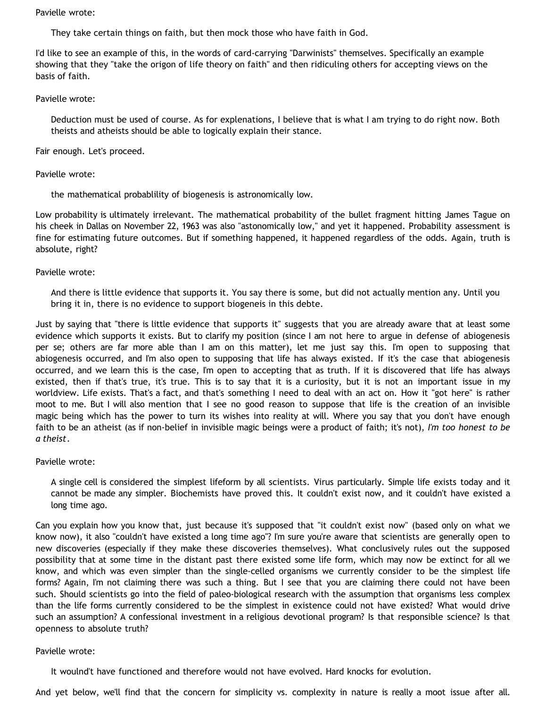#### Pavielle wrote:

They take certain things on faith, but then mock those who have faith in God.

I'd like to see an example of this, in the words of card-carrying "Darwinists" themselves. Specifically an example showing that they "take the origon of life theory on faith" and then ridiculing others for accepting views on the basis of faith.

Pavielle wrote:

Deduction must be used of course. As for explenations, I believe that is what I am trying to do right now. Both theists and atheists should be able to logically explain their stance.

Fair enough. Let's proceed.

## Pavielle wrote:

the mathematical probablility of biogenesis is astronomically low.

Low probability is ultimately irrelevant. The mathematical probability of the bullet fragment hitting James Tague on his cheek in Dallas on November 22, 1963 was also "astonomically low," and yet it happened. Probability assessment is fine for estimating future outcomes. But if something happened, it happened regardless of the odds. Again, truth is absolute, right?

## Pavielle wrote:

And there is little evidence that supports it. You say there is some, but did not actually mention any. Until you bring it in, there is no evidence to support biogeneis in this debte.

Just by saying that "there is little evidence that supports it" suggests that you are already aware that at least some evidence which supports it exists. But to clarify my position (since I am not here to argue in defense of abiogenesis per se; others are far more able than I am on this matter), let me just say this. I'm open to supposing that abiogenesis occurred, and I'm also open to supposing that life has always existed. If it's the case that abiogenesis occurred, and we learn this is the case, I'm open to accepting that as truth. If it is discovered that life has always existed, then if that's true, it's true. This is to say that it is a curiosity, but it is not an important issue in my worldview. Life exists. That's a fact, and that's something I need to deal with an act on. How it "got here" is rather moot to me. But I will also mention that I see no good reason to suppose that life is the creation of an invisible magic being which has the power to turn its wishes into reality at will. Where you say that you don't have enough faith to be an atheist (as if non-belief in invisible magic beings were a product of faith; it's not), *I'm too honest to be a theist*.

# Pavielle wrote:

A single cell is considered the simplest lifeform by all scientists. Virus particularly. Simple life exists today and it cannot be made any simpler. Biochemists have proved this. It couldn't exist now, and it couldn't have existed a long time ago.

Can you explain how you know that, just because it's supposed that "it couldn't exist now" (based only on what we know now), it also "couldn't have existed a long time ago"? I'm sure you're aware that scientists are generally open to new discoveries (especially if they make these discoveries themselves). What conclusively rules out the supposed possibility that at some time in the distant past there existed some life form, which may now be extinct for all we know, and which was even simpler than the single-celled organisms we currently consider to be the simplest life forms? Again, I'm not claiming there was such a thing. But I see that you are claiming there could not have been such. Should scientists go into the field of paleo-biological research with the assumption that organisms less complex than the life forms currently considered to be the simplest in existence could not have existed? What would drive such an assumption? A confessional investment in a religious devotional program? Is that responsible science? Is that openness to absolute truth?

#### Pavielle wrote:

It woulnd't have functioned and therefore would not have evolved. Hard knocks for evolution.

And yet below, we'll find that the concern for simplicity vs. complexity in nature is really a moot issue after all.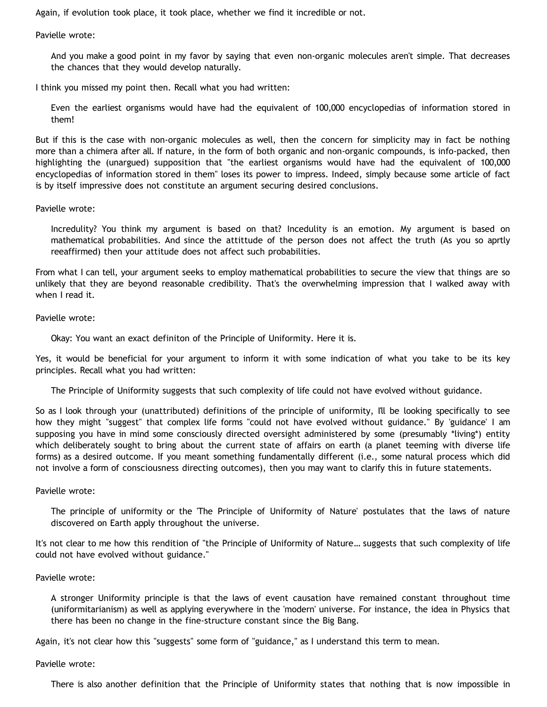Again, if evolution took place, it took place, whether we find it incredible or not.

Pavielle wrote:

And you make a good point in my favor by saying that even non-organic molecules aren't simple. That decreases the chances that they would develop naturally.

I think you missed my point then. Recall what you had written:

Even the earliest organisms would have had the equivalent of 100,000 encyclopedias of information stored in them!

But if this is the case with non-organic molecules as well, then the concern for simplicity may in fact be nothing more than a chimera after all. If nature, in the form of both organic and non-organic compounds, is info-packed, then highlighting the (unargued) supposition that "the earliest organisms would have had the equivalent of 100,000 encyclopedias of information stored in them" loses its power to impress. Indeed, simply because some article of fact is by itself impressive does not constitute an argument securing desired conclusions.

Pavielle wrote:

Incredulity? You think my argument is based on that? Incedulity is an emotion. My argument is based on mathematical probabilities. And since the attittude of the person does not affect the truth (As you so aprtly reeaffirmed) then your attitude does not affect such probabilities.

From what I can tell, your argument seeks to employ mathematical probabilities to secure the view that things are so unlikely that they are beyond reasonable credibility. That's the overwhelming impression that I walked away with when I read it.

Pavielle wrote:

Okay: You want an exact definiton of the Principle of Uniformity. Here it is.

Yes, it would be beneficial for your argument to inform it with some indication of what you take to be its key principles. Recall what you had written:

The Principle of Uniformity suggests that such complexity of life could not have evolved without guidance.

So as I look through your (unattributed) definitions of the principle of uniformity, I'll be looking specifically to see how they might "suggest" that complex life forms "could not have evolved without guidance." By 'guidance' I am supposing you have in mind some consciously directed oversight administered by some (presumably \*living\*) entity which deliberately sought to bring about the current state of affairs on earth (a planet teeming with diverse life forms) as a desired outcome. If you meant something fundamentally different (i.e., some natural process which did not involve a form of consciousness directing outcomes), then you may want to clarify this in future statements.

Pavielle wrote:

The principle of uniformity or the 'The Principle of Uniformity of Nature' postulates that the laws of nature discovered on Earth apply throughout the universe.

It's not clear to me how this rendition of "the Principle of Uniformity of Nature… suggests that such complexity of life could not have evolved without guidance."

Pavielle wrote:

A stronger Uniformity principle is that the laws of event causation have remained constant throughout time (uniformitarianism) as well as applying everywhere in the 'modern' universe. For instance, the idea in Physics that there has been no change in the fine-structure constant since the Big Bang.

Again, it's not clear how this "suggests" some form of "guidance," as I understand this term to mean.

Pavielle wrote:

There is also another definition that the Principle of Uniformity states that nothing that is now impossible in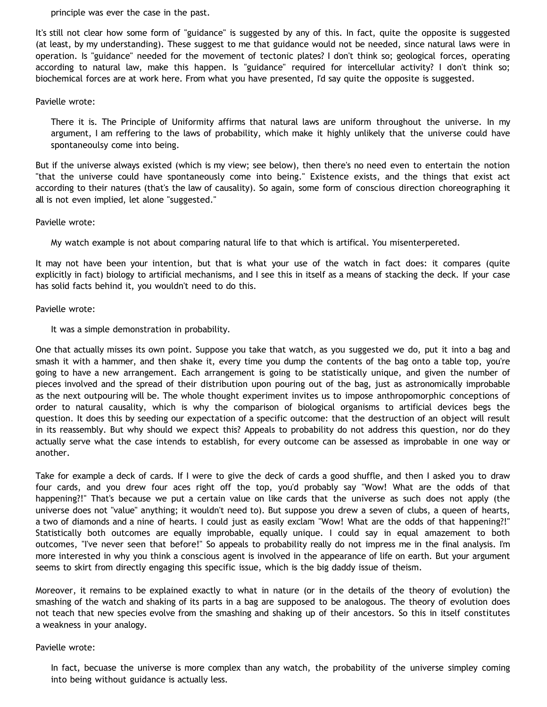principle was ever the case in the past.

It's still not clear how some form of "guidance" is suggested by any of this. In fact, quite the opposite is suggested (at least, by my understanding). These suggest to me that guidance would not be needed, since natural laws were in operation. Is "guidance" needed for the movement of tectonic plates? I don't think so; geological forces, operating according to natural law, make this happen. Is "guidance" required for intercellular activity? I don't think so; biochemical forces are at work here. From what you have presented, I'd say quite the opposite is suggested.

## Pavielle wrote:

There it is. The Principle of Uniformity affirms that natural laws are uniform throughout the universe. In my argument, I am reffering to the laws of probability, which make it highly unlikely that the universe could have spontaneoulsy come into being.

But if the universe always existed (which is my view; see below), then there's no need even to entertain the notion "that the universe could have spontaneously come into being." Existence exists, and the things that exist act according to their natures (that's the law of causality). So again, some form of conscious direction choreographing it all is not even implied, let alone "suggested."

## Pavielle wrote:

My watch example is not about comparing natural life to that which is artifical. You misenterpereted.

It may not have been your intention, but that is what your use of the watch in fact does: it compares (quite explicitly in fact) biology to artificial mechanisms, and I see this in itself as a means of stacking the deck. If your case has solid facts behind it, you wouldn't need to do this.

## Pavielle wrote:

It was a simple demonstration in probability.

One that actually misses its own point. Suppose you take that watch, as you suggested we do, put it into a bag and smash it with a hammer, and then shake it, every time you dump the contents of the bag onto a table top, you're going to have a new arrangement. Each arrangement is going to be statistically unique, and given the number of pieces involved and the spread of their distribution upon pouring out of the bag, just as astronomically improbable as the next outpouring will be. The whole thought experiment invites us to impose anthropomorphic conceptions of order to natural causality, which is why the comparison of biological organisms to artificial devices begs the question. It does this by seeding our expectation of a specific outcome: that the destruction of an object will result in its reassembly. But why should we expect this? Appeals to probability do not address this question, nor do they actually serve what the case intends to establish, for every outcome can be assessed as improbable in one way or another.

Take for example a deck of cards. If I were to give the deck of cards a good shuffle, and then I asked you to draw four cards, and you drew four aces right off the top, you'd probably say "Wow! What are the odds of that happening?!" That's because we put a certain value on like cards that the universe as such does not apply (the universe does not "value" anything; it wouldn't need to). But suppose you drew a seven of clubs, a queen of hearts, a two of diamonds and a nine of hearts. I could just as easily exclam "Wow! What are the odds of that happening?!" Statistically both outcomes are equally improbable, equally unique. I could say in equal amazement to both outcomes, "I've never seen that before!" So appeals to probability really do not impress me in the final analysis. I'm more interested in why you think a conscious agent is involved in the appearance of life on earth. But your argument seems to skirt from directly engaging this specific issue, which is the big daddy issue of theism.

Moreover, it remains to be explained exactly to what in nature (or in the details of the theory of evolution) the smashing of the watch and shaking of its parts in a bag are supposed to be analogous. The theory of evolution does not teach that new species evolve from the smashing and shaking up of their ancestors. So this in itself constitutes a weakness in your analogy.

#### Pavielle wrote:

In fact, becuase the universe is more complex than any watch, the probability of the universe simpley coming into being without guidance is actually less.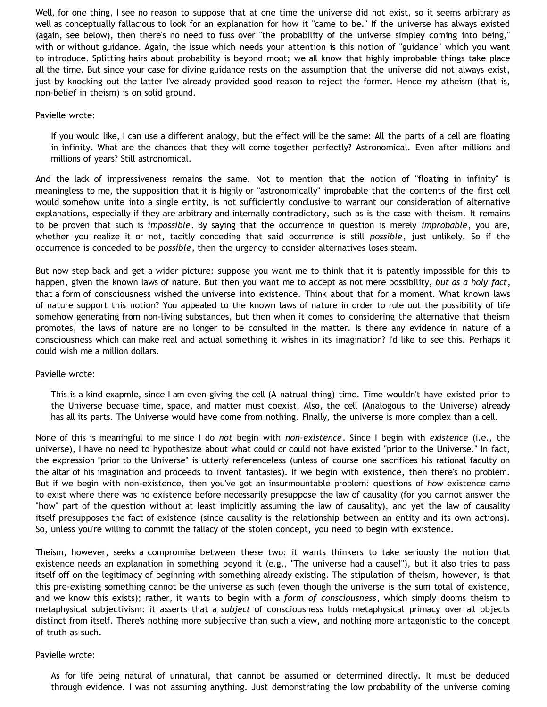Well, for one thing, I see no reason to suppose that at one time the universe did not exist, so it seems arbitrary as well as conceptually fallacious to look for an explanation for how it "came to be." If the universe has always existed (again, see below), then there's no need to fuss over "the probability of the universe simpley coming into being," with or without guidance. Again, the issue which needs your attention is this notion of "guidance" which you want to introduce. Splitting hairs about probability is beyond moot; we all know that highly improbable things take place all the time. But since your case for divine guidance rests on the assumption that the universe did not always exist, just by knocking out the latter I've already provided good reason to reject the former. Hence my atheism (that is, non-belief in theism) is on solid ground.

#### Pavielle wrote:

If you would like, I can use a different analogy, but the effect will be the same: All the parts of a cell are floating in infinity. What are the chances that they will come together perfectly? Astronomical. Even after millions and millions of years? Still astronomical.

And the lack of impressiveness remains the same. Not to mention that the notion of "floating in infinity" is meaningless to me, the supposition that it is highly or "astronomically" improbable that the contents of the first cell would somehow unite into a single entity, is not sufficiently conclusive to warrant our consideration of alternative explanations, especially if they are arbitrary and internally contradictory, such as is the case with theism. It remains to be proven that such is *impossible*. By saying that the occurrence in question is merely *improbable*, you are, whether you realize it or not, tacitly conceding that said occurrence is still *possible*, just unlikely. So if the occurrence is conceded to be *possible*, then the urgency to consider alternatives loses steam.

But now step back and get a wider picture: suppose you want me to think that it is patently impossible for this to happen, given the known laws of nature. But then you want me to accept as not mere possibility, *but as a holy fact*, that a form of consciousness wished the universe into existence. Think about that for a moment. What known laws of nature support this notion? You appealed to the known laws of nature in order to rule out the possibility of life somehow generating from non-living substances, but then when it comes to considering the alternative that theism promotes, the laws of nature are no longer to be consulted in the matter. Is there any evidence in nature of a consciousness which can make real and actual something it wishes in its imagination? I'd like to see this. Perhaps it could wish me a million dollars.

#### Pavielle wrote:

This is a kind exapmle, since I am even giving the cell (A natrual thing) time. Time wouldn't have existed prior to the Universe becuase time, space, and matter must coexist. Also, the cell (Analogous to the Universe) already has all its parts. The Universe would have come from nothing. FInally, the universe is more complex than a cell.

None of this is meaningful to me since I do *not* begin with *non-existence*. Since I begin with *existence* (i.e., the universe), I have no need to hypothesize about what could or could not have existed "prior to the Universe." In fact, the expression "prior to the Universe" is utterly referenceless (unless of course one sacrifices his rational faculty on the altar of his imagination and proceeds to invent fantasies). If we begin with existence, then there's no problem. But if we begin with non-existence, then you've got an insurmountable problem: questions of *how* existence came to exist where there was no existence before necessarily presuppose the law of causality (for you cannot answer the "how" part of the question without at least implicitly assuming the law of causality), and yet the law of causality itself presupposes the fact of existence (since causality is the relationship between an entity and its own actions). So, unless you're willing to commit the fallacy of the stolen concept, you need to begin with existence.

Theism, however, seeks a compromise between these two: it wants thinkers to take seriously the notion that existence needs an explanation in something beyond it (e.g., "The universe had a cause!"), but it also tries to pass itself off on the legitimacy of beginning with something already existing. The stipulation of theism, however, is that this pre-existing something cannot be the universe as such (even though the universe is the sum total of existence, and we know this exists); rather, it wants to begin with a *form of consciousness*, which simply dooms theism to metaphysical subjectivism: it asserts that a *subject* of consciousness holds metaphysical primacy over all objects distinct from itself. There's nothing more subjective than such a view, and nothing more antagonistic to the concept of truth as such.

#### Pavielle wrote:

As for life being natural of unnatural, that cannot be assumed or determined directly. It must be deduced through evidence. I was not assuming anything. Just demonstrating the low probability of the universe coming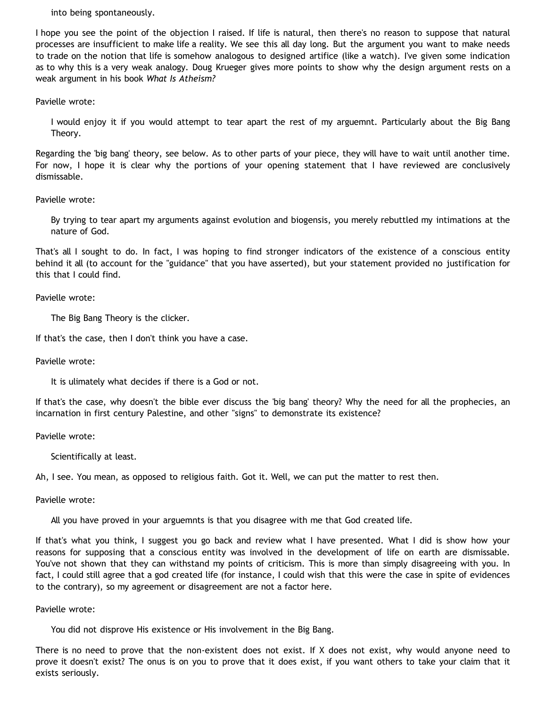into being spontaneously.

I hope you see the point of the objection I raised. If life is natural, then there's no reason to suppose that natural processes are insufficient to make life a reality. We see this all day long. But the argument you want to make needs to trade on the notion that life is somehow analogous to designed artifice (like a watch). I've given some indication as to why this is a very weak analogy. Doug Krueger gives more points to show why the design argument rests on a weak argument in his book *What Is Atheism?*

Pavielle wrote:

I would enjoy it if you would attempt to tear apart the rest of my arguemnt. Particularly about the Big Bang Theory.

Regarding the 'big bang' theory, see below. As to other parts of your piece, they will have to wait until another time. For now, I hope it is clear why the portions of your opening statement that I have reviewed are conclusively dismissable.

Pavielle wrote:

By trying to tear apart my arguments against evolution and biogensis, you merely rebuttled my intimations at the nature of God.

That's all I sought to do. In fact, I was hoping to find stronger indicators of the existence of a conscious entity behind it all (to account for the "guidance" that you have asserted), but your statement provided no justification for this that I could find.

Pavielle wrote:

The Big Bang Theory is the clicker.

If that's the case, then I don't think you have a case.

Pavielle wrote:

It is ulimately what decides if there is a God or not.

If that's the case, why doesn't the bible ever discuss the 'big bang' theory? Why the need for all the prophecies, an incarnation in first century Palestine, and other "signs" to demonstrate its existence?

Pavielle wrote:

Scientifically at least.

Ah, I see. You mean, as opposed to religious faith. Got it. Well, we can put the matter to rest then.

Pavielle wrote:

All you have proved in your arguemnts is that you disagree with me that God created life.

If that's what you think, I suggest you go back and review what I have presented. What I did is show how your reasons for supposing that a conscious entity was involved in the development of life on earth are dismissable. You've not shown that they can withstand my points of criticism. This is more than simply disagreeing with you. In fact, I could still agree that a god created life (for instance, I could wish that this were the case in spite of evidences to the contrary), so my agreement or disagreement are not a factor here.

Pavielle wrote:

You did not disprove His existence or His involvement in the Big Bang.

There is no need to prove that the non-existent does not exist. If X does not exist, why would anyone need to prove it doesn't exist? The onus is on you to prove that it does exist, if you want others to take your claim that it exists seriously.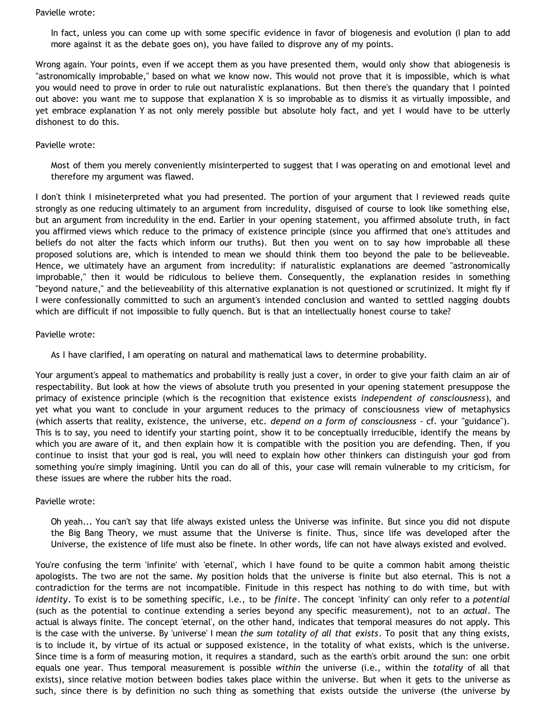#### Pavielle wrote:

In fact, unless you can come up with some specific evidence in favor of biogenesis and evolution (I plan to add more against it as the debate goes on), you have failed to disprove any of my points.

Wrong again. Your points, even if we accept them as you have presented them, would only show that abiogenesis is "astronomically improbable," based on what we know now. This would not prove that it is impossible, which is what you would need to prove in order to rule out naturalistic explanations. But then there's the quandary that I pointed out above: you want me to suppose that explanation X is so improbable as to dismiss it as virtually impossible, and yet embrace explanation Y as not only merely possible but absolute holy fact, and yet I would have to be utterly dishonest to do this.

### Pavielle wrote:

Most of them you merely conveniently misinterperted to suggest that I was operating on and emotional level and therefore my argument was flawed.

I don't think I misineterpreted what you had presented. The portion of your argument that I reviewed reads quite strongly as one reducing ultimately to an argument from incredulity, disguised of course to look like something else, but an argument from incredulity in the end. Earlier in your opening statement, you affirmed absolute truth, in fact you affirmed views which reduce to the primacy of existence principle (since you affirmed that one's attitudes and beliefs do not alter the facts which inform our truths). But then you went on to say how improbable all these proposed solutions are, which is intended to mean we should think them too beyond the pale to be believeable. Hence, we ultimately have an argument from incredulity: if naturalistic explanations are deemed "astronomically improbable," then it would be ridiculous to believe them. Consequently, the explanation resides in something "beyond nature," and the believeability of this alternative explanation is not questioned or scrutinized. It might fly if I were confessionally committed to such an argument's intended conclusion and wanted to settled nagging doubts which are difficult if not impossible to fully quench. But is that an intellectually honest course to take?

## Pavielle wrote:

As I have clarified, I am operating on natural and mathematical laws to determine probability.

Your argument's appeal to mathematics and probability is really just a cover, in order to give your faith claim an air of respectability. But look at how the views of absolute truth you presented in your opening statement presuppose the primacy of existence principle (which is the recognition that existence exists *independent of consciousness*), and yet what you want to conclude in your argument reduces to the primacy of consciousness view of metaphysics (which asserts that reality, existence, the universe, etc. *depend on a form of consciousness* - cf. your "guidance"). This is to say, you need to identify your starting point, show it to be conceptually irreducible, identify the means by which you are aware of it, and then explain how it is compatible with the position you are defending. Then, if you continue to insist that your god is real, you will need to explain how other thinkers can distinguish your god from something you're simply imagining. Until you can do all of this, your case will remain vulnerable to my criticism, for these issues are where the rubber hits the road.

# Pavielle wrote:

Oh yeah... You can't say that life always existed unless the Universe was infinite. But since you did not dispute the Big Bang Theory, we must assume that the Universe is finite. Thus, since life was developed after the Universe, the existence of life must also be finete. In other words, life can not have always existed and evolved.

You're confusing the term 'infinite' with 'eternal', which I have found to be quite a common habit among theistic apologists. The two are not the same. My position holds that the universe is finite but also eternal. This is not a contradiction for the terms are not incompatible. Finitude in this respect has nothing to do with time, but with *identity*. To exist is to be something specific, i.e., to be *finite*. The concept 'infinity' can only refer to a *potential* (such as the potential to continue extending a series beyond any specific measurement), not to an *actual*. The actual is always finite. The concept 'eternal', on the other hand, indicates that temporal measures do not apply. This is the case with the universe. By 'universe' I mean *the sum totality of all that exists*. To posit that any thing exists, is to include it, by virtue of its actual or supposed existence, in the totality of what exists, which is the universe. Since time is a form of measuring motion, it requires a standard, such as the earth's orbit around the sun: one orbit equals one year. Thus temporal measurement is possible *within* the universe (i.e., within the *totality* of all that exists), since relative motion between bodies takes place within the universe. But when it gets to the universe as such, since there is by definition no such thing as something that exists outside the universe (the universe by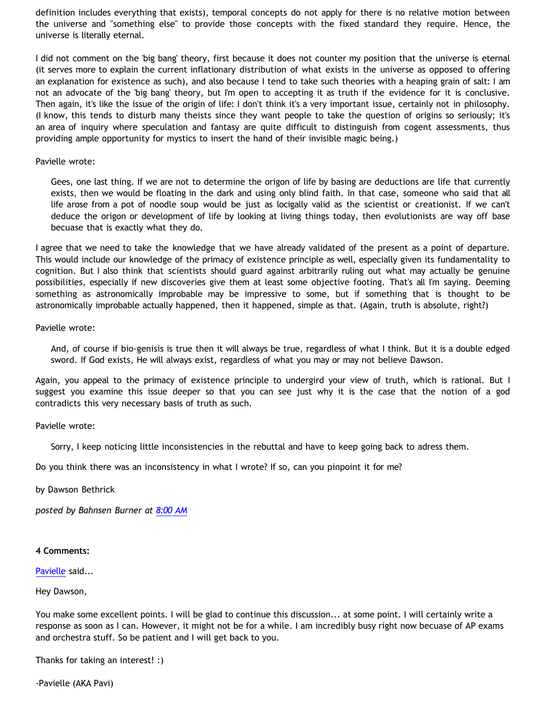definition includes everything that exists), temporal concepts do not apply for there is no relative motion between the universe and "something else" to provide those concepts with the fixed standard they require. Hence, the universe is literally eternal.

I did not comment on the 'big bang' theory, first because it does not counter my position that the universe is eternal (it serves more to explain the current inflationary distribution of what exists in the universe as opposed to offering an explanation for existence as such), and also because I tend to take such theories with a heaping grain of salt: I am not an advocate of the 'big bang' theory, but I'm open to accepting it as truth if the evidence for it is conclusive. Then again, it's like the issue of the origin of life: I don't think it's a very important issue, certainly not in philosophy. (I know, this tends to disturb many theists since they want people to take the question of origins so seriously; it's an area of inquiry where speculation and fantasy are quite difficult to distinguish from cogent assessments, thus providing ample opportunity for mystics to insert the hand of their invisible magic being.)

### Pavielle wrote:

Gees, one last thing. If we are not to determine the origon of life by basing are deductions are life that currently exists, then we would be floating in the dark and using only blind faith. In that case, someone who said that all life arose from a pot of noodle soup would be just as locigally valid as the scientist or creationist. If we can't deduce the origon or development of life by looking at living things today, then evolutionists are way off base becuase that is exactly what they do.

I agree that we need to take the knowledge that we have already validated of the present as a point of departure. This would include our knowledge of the primacy of existence principle as well, especially given its fundamentality to cognition. But I also think that scientists should guard against arbitrarily ruling out what may actually be genuine possibilities, especially if new discoveries give them at least some objective footing. That's all I'm saying. Deeming something as astronomically improbable may be impressive to some, but if something that is thought to be astronomically improbable actually happened, then it happened, simple as that. (Again, truth is absolute, right?)

Pavielle wrote:

And, of course if bio-genisis is true then it will always be true, regardless of what I think. But it is a double edged sword. If God exists, He will always exist, regardless of what you may or may not believe Dawson.

Again, you appeal to the primacy of existence principle to undergird your view of truth, which is rational. But I suggest you examine this issue deeper so that you can see just why it is the case that the notion of a god contradicts this very necessary basis of truth as such.

#### Pavielle wrote:

Sorry, I keep noticing little inconsistencies in the rebuttal and have to keep going back to adress them.

Do you think there was an inconsistency in what I wrote? If so, can you pinpoint it for me?

by Dawson Bethrick

*posted by Bahnsen Burner at [8:00 AM](http://bahnsenburner.blogspot.com/2006/03/responding-to-pavielle.html)*

#### **4 Comments:**

[Pavielle](http://www.blogger.com/profile/20819142) said...

Hey Dawson,

You make some excellent points. I will be glad to continue this discussion... at some point. I will certainly write a response as soon as I can. However, it might not be for a while. I am incredibly busy right now becuase of AP exams and orchestra stuff. So be patient and I will get back to you.

Thanks for taking an interest! :)

-Pavielle (AKA Pavi)